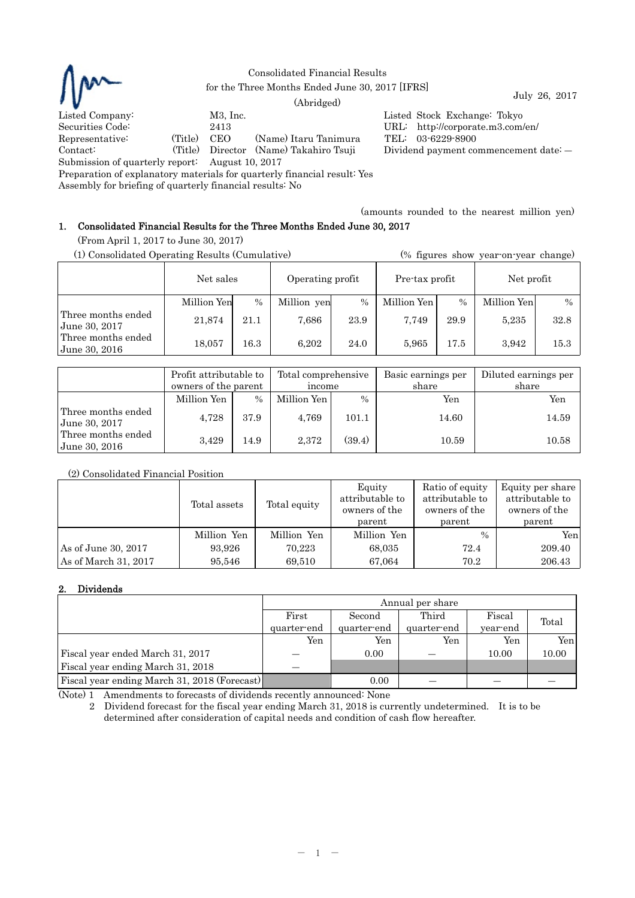

Consolidated Financial Results

% for the Three Months Ended June 30, 2017 [IFRS] July 26, 2017 [IFRS]

Listed Company: M3, Inc. Listed Stock Exchange: Tokyo Securities Code: 2413<br>
Representative: (Title) CEO (Name) Itary Tanimura TEL: 03-6229-8900 Representative: (Title) CEO (Name) Itaru Tanimura TEL: 03-6229-8900 Contact: (Title) Director (Name) Takahiro Tsuji Dividend payment commencement date: ―

Submission of quarterly report: August 10, 2017

Preparation of explanatory materials for quarterly financial result: Yes

Assembly for briefing of quarterly financial results: No

(amounts rounded to the nearest million yen)

# 1. Consolidated Financial Results for the Three Months Ended June 30, 2017

(From April 1, 2017 to June 30, 2017)

| (1) Consolidated Operating Results (Cumulative) |             |          |                  |               | (% figures show year-on-year change) |               |             |               |
|-------------------------------------------------|-------------|----------|------------------|---------------|--------------------------------------|---------------|-------------|---------------|
|                                                 | Net sales   |          | Operating profit |               | Pre-tax profit                       |               | Net profit  |               |
|                                                 | Million Yen | $\%$     | Million yen      | $\frac{0}{0}$ | Million Yen                          | $\frac{0}{0}$ | Million Yen | $\frac{0}{0}$ |
| Three months ended<br>June 30, 2017             | 21,874      | 21.1     | 7,686            | 23.9          | 7.749                                | 29.9          | 5,235       | 32.8          |
| Three months ended<br>June 30, 2016             | 18,057      | $16.3\,$ | 6.202            | 24.0          | 5.965                                | 17.5          | 3.942       | 15.3          |

|                                       | Profit attributable to<br>owners of the parent |      | Total comprehensive<br>income |               | Basic earnings per<br>share | Diluted earnings per<br>share |  |
|---------------------------------------|------------------------------------------------|------|-------------------------------|---------------|-----------------------------|-------------------------------|--|
|                                       | Million Yen                                    | $\%$ | Million Yen                   | $\frac{0}{0}$ | Yen                         | Yen                           |  |
| Three months ended<br>  June 30, 2017 | 4,728                                          | 37.9 | 4,769                         | 101.1         | 14.60                       | 14.59                         |  |
| Three months ended<br>June 30, 2016   | 3,429                                          | 14.9 | 2,372                         | (39.4)        | 10.59                       | 10.58                         |  |

# (2) Consolidated Financial Position

|                      | Total assets | Total equity | Equity<br>attributable to<br>owners of the<br>parent | Ratio of equity<br>attributable to<br>owners of the<br>parent | Equity per share<br>attributable to<br>owners of the<br>parent |
|----------------------|--------------|--------------|------------------------------------------------------|---------------------------------------------------------------|----------------------------------------------------------------|
|                      | Million Yen  | Million Yen  | Million Yen                                          | $\%$                                                          | Yenl                                                           |
| As of June 30, 2017  | 93.926       | 70,223       | 68,035                                               | 72.4                                                          | 209.40                                                         |
| As of March 31, 2017 | 95,546       | 69.510       | 67,064                                               | 70.2                                                          | 206.43                                                         |

# 2. Dividends

|                                              | Annual per share |                           |             |          |       |  |  |
|----------------------------------------------|------------------|---------------------------|-------------|----------|-------|--|--|
|                                              | First            | Third<br>Fiscal<br>Second |             |          |       |  |  |
|                                              | quarter-end      | quarter-end               | quarter-end | year-end | Total |  |  |
|                                              | Yen              | Yen                       | Yen         | Yen      | Yenl  |  |  |
| Fiscal year ended March 31, 2017             |                  | 0.00                      |             | 10.00    | 10.00 |  |  |
| Fiscal year ending March 31, 2018            |                  |                           |             |          |       |  |  |
| Fiscal year ending March 31, 2018 (Forecast) |                  | 0.00                      |             |          |       |  |  |

(Note) 1 Amendments to forecasts of dividends recently announced: None

2 Dividend forecast for the fiscal year ending March 31, 2018 is currently undetermined. It is to be determined after consideration of capital needs and condition of cash flow hereafter.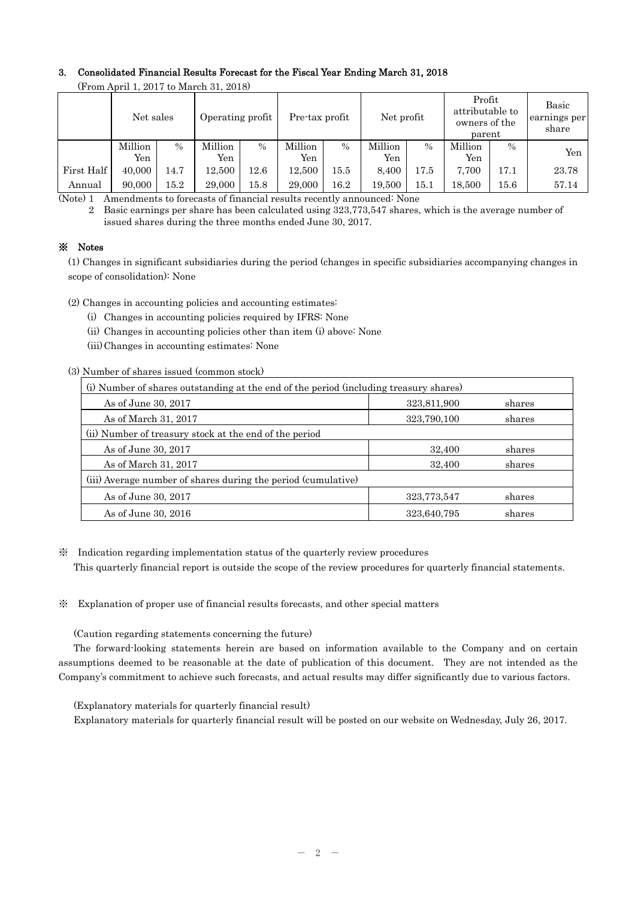# 3. Consolidated Financial Results Forecast for the Fiscal Year Ending March 31, 2018

|            | $\alpha$ roll that is go to walk the $\alpha$ . |      |                  |               |                |               |            |               |                                                      |               |                                |
|------------|-------------------------------------------------|------|------------------|---------------|----------------|---------------|------------|---------------|------------------------------------------------------|---------------|--------------------------------|
|            | Net sales                                       |      | Operating profit |               | Pre-tax profit |               | Net profit |               | Profit<br>attributable to<br>owners of the<br>parent |               | Basic<br>earnings per<br>share |
|            | Million                                         | $\%$ | Million          | $\frac{0}{0}$ | Million        | $\frac{0}{0}$ | Million    | $\frac{0}{0}$ | Million                                              | $\frac{0}{0}$ | Yen                            |
|            | Yen                                             |      | Yen              |               | Yen            |               | Yen        |               | Yen                                                  |               |                                |
| First Half | 40,000                                          | 14.7 | 12,500           | 12.6          | 12,500         | 15.5          | 8,400      | 17.5          | 7,700                                                | 17.1          | 23.78                          |
| Annual     | 90,000                                          | 15.2 | 29,000           | 15.8          | 29,000         | 16.2          | 19.500     | $15.1\,$      | 18,500                                               | 15.6          | 57.14                          |

(From April 1, 2017 to March 31, 2018)

(Note) 1 Amendments to forecasts of financial results recently announced: None

2 Basic earnings per share has been calculated using 323,773,547 shares, which is the average number of issued shares during the three months ended June 30, 2017.

# ※ Notes

(1) Changes in significant subsidiaries during the period (changes in specific subsidiaries accompanying changes in scope of consolidation): None

(2) Changes in accounting policies and accounting estimates:

(i) Changes in accounting policies required by IFRS: None

(ii) Changes in accounting policies other than item (i) above: None

(iii) Changes in accounting estimates: None

(3) Number of shares issued (common stock)

| (i) Number of shares outstanding at the end of the period (including treasury shares) |             |        |  |  |  |  |
|---------------------------------------------------------------------------------------|-------------|--------|--|--|--|--|
| As of June 30, 2017                                                                   | 323,811,900 | shares |  |  |  |  |
| As of March 31, 2017                                                                  | 323,790,100 | shares |  |  |  |  |
| (ii) Number of treasury stock at the end of the period                                |             |        |  |  |  |  |
| As of June 30, 2017                                                                   | 32,400      | shares |  |  |  |  |
| As of March 31, 2017                                                                  | 32,400      | shares |  |  |  |  |
| (iii) Average number of shares during the period (cumulative)                         |             |        |  |  |  |  |
| As of June 30, 2017                                                                   | 323,773,547 | shares |  |  |  |  |
| As of June 30, 2016                                                                   | 323,640,795 | shares |  |  |  |  |

※ Indication regarding implementation status of the quarterly review procedures This quarterly financial report is outside the scope of the review procedures for quarterly financial statements.

※ Explanation of proper use of financial results forecasts, and other special matters

(Caution regarding statements concerning the future)

The forward-looking statements herein are based on information available to the Company and on certain assumptions deemed to be reasonable at the date of publication of this document. They are not intended as the Company's commitment to achieve such forecasts, and actual results may differ significantly due to various factors.

(Explanatory materials for quarterly financial result)

Explanatory materials for quarterly financial result will be posted on our website on Wednesday, July 26, 2017.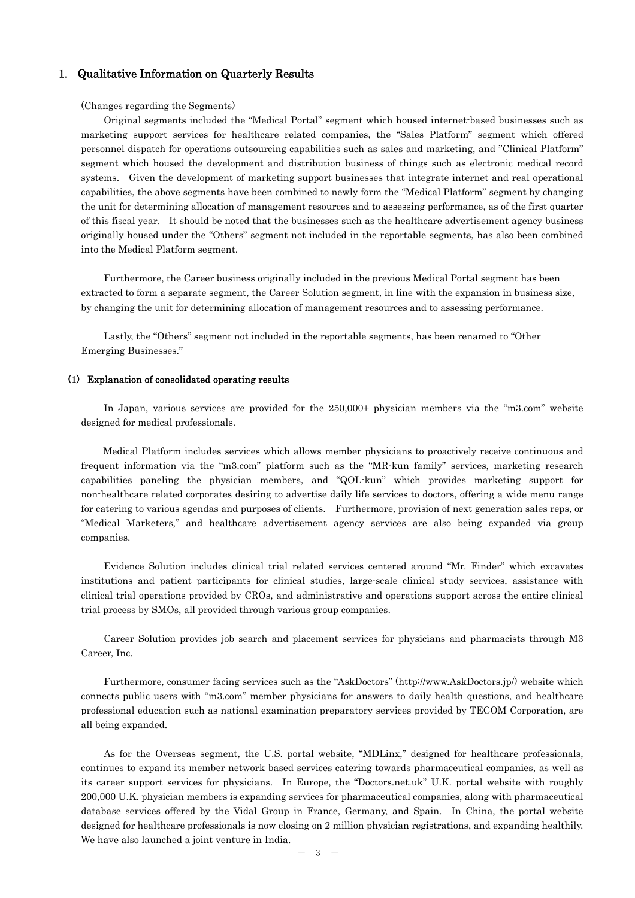## 1. Qualitative Information on Quarterly Results

#### (Changes regarding the Segments)

Original segments included the "Medical Portal" segment which housed internet-based businesses such as marketing support services for healthcare related companies, the "Sales Platform" segment which offered personnel dispatch for operations outsourcing capabilities such as sales and marketing, and "Clinical Platform" segment which housed the development and distribution business of things such as electronic medical record systems. Given the development of marketing support businesses that integrate internet and real operational capabilities, the above segments have been combined to newly form the "Medical Platform" segment by changing the unit for determining allocation of management resources and to assessing performance, as of the first quarter of this fiscal year. It should be noted that the businesses such as the healthcare advertisement agency business originally housed under the "Others" segment not included in the reportable segments, has also been combined into the Medical Platform segment.

Furthermore, the Career business originally included in the previous Medical Portal segment has been extracted to form a separate segment, the Career Solution segment, in line with the expansion in business size, by changing the unit for determining allocation of management resources and to assessing performance.

Lastly, the "Others" segment not included in the reportable segments, has been renamed to "Other Emerging Businesses."

### (1) Explanation of consolidated operating results

In Japan, various services are provided for the 250,000+ physician members via the "m3.com" website designed for medical professionals.

 Medical Platform includes services which allows member physicians to proactively receive continuous and frequent information via the "m3.com" platform such as the "MR-kun family" services, marketing research capabilities paneling the physician members, and "QOL-kun" which provides marketing support for non-healthcare related corporates desiring to advertise daily life services to doctors, offering a wide menu range for catering to various agendas and purposes of clients. Furthermore, provision of next generation sales reps, or "Medical Marketers," and healthcare advertisement agency services are also being expanded via group companies.

Evidence Solution includes clinical trial related services centered around "Mr. Finder" which excavates institutions and patient participants for clinical studies, large-scale clinical study services, assistance with clinical trial operations provided by CROs, and administrative and operations support across the entire clinical trial process by SMOs, all provided through various group companies.

Career Solution provides job search and placement services for physicians and pharmacists through M3 Career, Inc.

Furthermore, consumer facing services such as the "AskDoctors" (http://www.AskDoctors.jp/) website which connects public users with "m3.com" member physicians for answers to daily health questions, and healthcare professional education such as national examination preparatory services provided by TECOM Corporation, are all being expanded.

As for the Overseas segment, the U.S. portal website, "MDLinx," designed for healthcare professionals, continues to expand its member network based services catering towards pharmaceutical companies, as well as its career support services for physicians. In Europe, the "Doctors.net.uk" U.K. portal website with roughly 200,000 U.K. physician members is expanding services for pharmaceutical companies, along with pharmaceutical database services offered by the Vidal Group in France, Germany, and Spain. In China, the portal website designed for healthcare professionals is now closing on 2 million physician registrations, and expanding healthily. We have also launched a joint venture in India.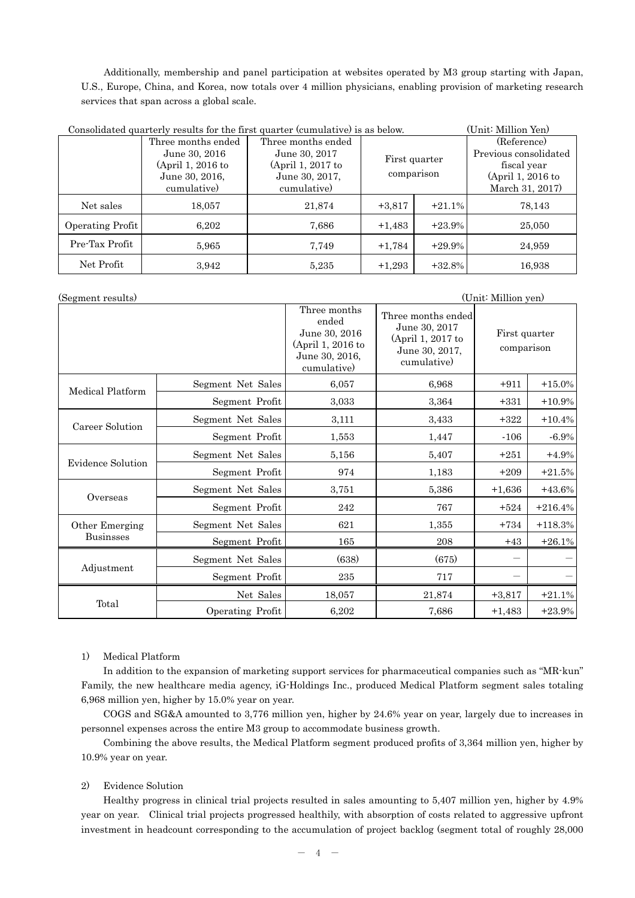Additionally, membership and panel participation at websites operated by M3 group starting with Japan, U.S., Europe, China, and Korea, now totals over 4 million physicians, enabling provision of marketing research services that span across a global scale.

| Consolidated quarterly results for the first quarter (cumulative) is as below. | (Unit: Million Yen) |                    |               |          |                       |
|--------------------------------------------------------------------------------|---------------------|--------------------|---------------|----------|-----------------------|
|                                                                                | Three months ended  | Three months ended |               |          | (Reference)           |
|                                                                                | June 30, 2016       | June 30, 2017      | First quarter |          | Previous consolidated |
|                                                                                | (April 1, 2016 to   | (April 1, 2017 to  |               |          | fiscal year           |
|                                                                                | June 30, 2016.      | June 30, 2017,     | comparison    |          | (April 1, 2016 to     |
|                                                                                | cumulative)         | cumulative)        |               |          | March 31, 2017)       |
| Net sales                                                                      | 18,057              | 21,874             | $+3,817$      | $+21.1%$ | 78,143                |
| Operating Profit                                                               | 6,202               | 7,686              | $+1,483$      | $+23.9%$ | 25,050                |
| Pre-Tax Profit                                                                 | 5,965               | 7,749              | $+1,784$      | $+29.9%$ | 24,959                |
| Net Profit                                                                     | 3,942               | 5,235              | $+1,293$      | $+32.8%$ | 16,938                |

| (Segment results)        |                   |                                                                                              |                                                                                           | (Unit: Million yen)         |           |
|--------------------------|-------------------|----------------------------------------------------------------------------------------------|-------------------------------------------------------------------------------------------|-----------------------------|-----------|
|                          |                   | Three months<br>ended<br>June 30, 2016<br>(April 1, 2016 to<br>June 30, 2016,<br>cumulative) | Three months ended<br>June 30, 2017<br>(April 1, 2017 to<br>June 30, 2017,<br>cumulative) | First quarter<br>comparison |           |
| Medical Platform         | Segment Net Sales | 6,057                                                                                        | 6,968                                                                                     | $+911$                      | $+15.0\%$ |
|                          | Segment Profit    | 3,033                                                                                        | 3,364                                                                                     | $+331$                      | $+10.9%$  |
| Career Solution          | Segment Net Sales | 3,111                                                                                        | 3,433                                                                                     | $+322$                      | $+10.4%$  |
|                          | Segment Profit    | 1,553                                                                                        | 1,447                                                                                     | $-106$                      | $-6.9\%$  |
| <b>Evidence Solution</b> | Segment Net Sales | 5,156                                                                                        | 5,407                                                                                     | $+251$                      | $+4.9%$   |
|                          | Segment Profit    | 974                                                                                          | 1,183                                                                                     | $+209$                      | $+21.5%$  |
| Overseas                 | Segment Net Sales | 3,751                                                                                        | 5,386                                                                                     | $+1,636$                    | $+43.6%$  |
|                          | Segment Profit    | 242                                                                                          | 767                                                                                       | $+524$                      | $+216.4%$ |
| Other Emerging           | Segment Net Sales | 621                                                                                          | 1,355                                                                                     | $+734$                      | $+118.3%$ |
| <b>Businsses</b>         | Segment Profit    | 165                                                                                          | 208                                                                                       | $+43$                       | $+26.1%$  |
| Adjustment               | Segment Net Sales | (638)                                                                                        | (675)                                                                                     |                             |           |
|                          | Segment Profit    | 235                                                                                          | 717                                                                                       |                             |           |
|                          | Net Sales         | 18,057                                                                                       | 21,874                                                                                    | $+3,817$                    | $+21.1%$  |
| Total                    | Operating Profit  | 6,202                                                                                        | 7,686                                                                                     | $+1,483$                    | $+23.9%$  |

## 1) Medical Platform

In addition to the expansion of marketing support services for pharmaceutical companies such as "MR-kun" Family, the new healthcare media agency, iG-Holdings Inc., produced Medical Platform segment sales totaling 6,968 million yen, higher by 15.0% year on year.

 COGS and SG&A amounted to 3,776 million yen, higher by 24.6% year on year, largely due to increases in personnel expenses across the entire M3 group to accommodate business growth.

 Combining the above results, the Medical Platform segment produced profits of 3,364 million yen, higher by 10.9% year on year.

## 2) Evidence Solution

Healthy progress in clinical trial projects resulted in sales amounting to 5,407 million yen, higher by 4.9% year on year. Clinical trial projects progressed healthily, with absorption of costs related to aggressive upfront investment in headcount corresponding to the accumulation of project backlog (segment total of roughly 28,000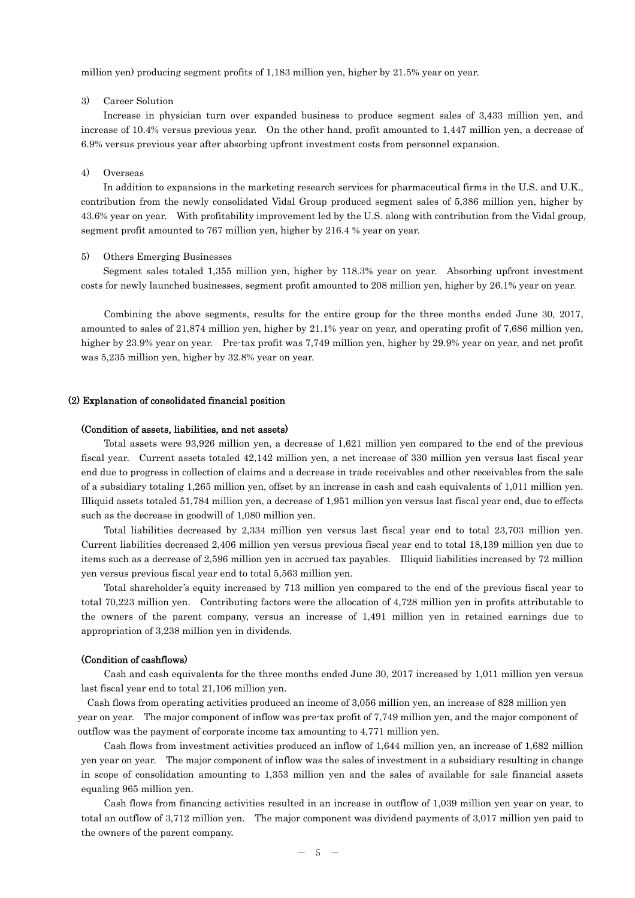million yen) producing segment profits of 1,183 million yen, higher by 21.5% year on year.

### 3) Career Solution

Increase in physician turn over expanded business to produce segment sales of 3,433 million yen, and increase of 10.4% versus previous year. On the other hand, profit amounted to 1,447 million yen, a decrease of 6.9% versus previous year after absorbing upfront investment costs from personnel expansion.

### 4) Overseas

In addition to expansions in the marketing research services for pharmaceutical firms in the U.S. and U.K., contribution from the newly consolidated Vidal Group produced segment sales of 5,386 million yen, higher by 43.6% year on year. With profitability improvement led by the U.S. along with contribution from the Vidal group, segment profit amounted to 767 million yen, higher by 216.4 % year on year.

#### 5) Others Emerging Businesses

Segment sales totaled 1,355 million yen, higher by 118.3% year on year. Absorbing upfront investment costs for newly launched businesses, segment profit amounted to 208 million yen, higher by 26.1% year on year.

Combining the above segments, results for the entire group for the three months ended June 30, 2017, amounted to sales of 21,874 million yen, higher by 21.1% year on year, and operating profit of 7,686 million yen, higher by 23.9% year on year. Pre-tax profit was 7,749 million yen, higher by 29.9% year on year, and net profit was 5,235 million yen, higher by 32.8% year on year.

### (2) Explanation of consolidated financial position

#### (Condition of assets, liabilities, and net assets)

Total assets were 93,926 million yen, a decrease of 1,621 million yen compared to the end of the previous fiscal year. Current assets totaled 42,142 million yen, a net increase of 330 million yen versus last fiscal year end due to progress in collection of claims and a decrease in trade receivables and other receivables from the sale of a subsidiary totaling 1,265 million yen, offset by an increase in cash and cash equivalents of 1,011 million yen. Illiquid assets totaled 51,784 million yen, a decrease of 1,951 million yen versus last fiscal year end, due to effects such as the decrease in goodwill of 1,080 million yen.

Total liabilities decreased by 2,334 million yen versus last fiscal year end to total 23,703 million yen. Current liabilities decreased 2,406 million yen versus previous fiscal year end to total 18,139 million yen due to items such as a decrease of 2,596 million yen in accrued tax payables. Illiquid liabilities increased by 72 million yen versus previous fiscal year end to total 5,563 million yen.

Total shareholder's equity increased by 713 million yen compared to the end of the previous fiscal year to total 70,223 million yen. Contributing factors were the allocation of 4,728 million yen in profits attributable to the owners of the parent company, versus an increase of 1,491 million yen in retained earnings due to appropriation of 3,238 million yen in dividends.

### (Condition of cashflows)

Cash and cash equivalents for the three months ended June 30, 2017 increased by 1,011 million yen versus last fiscal year end to total 21,106 million yen.

Cash flows from operating activities produced an income of 3,056 million yen, an increase of 828 million yen year on year. The major component of inflow was pre-tax profit of 7,749 million yen, and the major component of outflow was the payment of corporate income tax amounting to 4,771 million yen.

Cash flows from investment activities produced an inflow of 1,644 million yen, an increase of 1,682 million yen year on year. The major component of inflow was the sales of investment in a subsidiary resulting in change in scope of consolidation amounting to 1,353 million yen and the sales of available for sale financial assets equaling 965 million yen.

Cash flows from financing activities resulted in an increase in outflow of 1,039 million yen year on year, to total an outflow of 3,712 million yen. The major component was dividend payments of 3,017 million yen paid to the owners of the parent company.